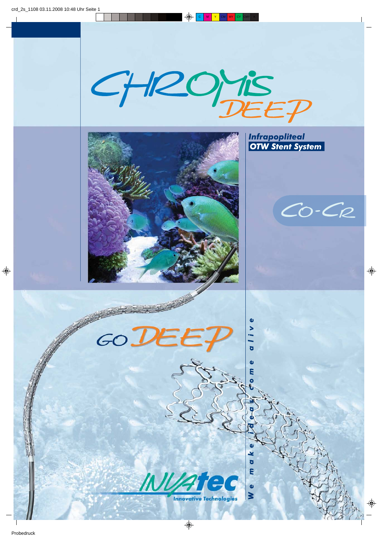



## **Infrapopliteal OTW Stent System**

 $\mathbf 0$  $\blacktriangleright$ 

 $\overline{\phantom{a}}$  $\overline{a}$ 

> $\bullet$ **S**

¥ ð  $\overline{\mathbf{a}}$ 

 $\bullet$  $\geq$